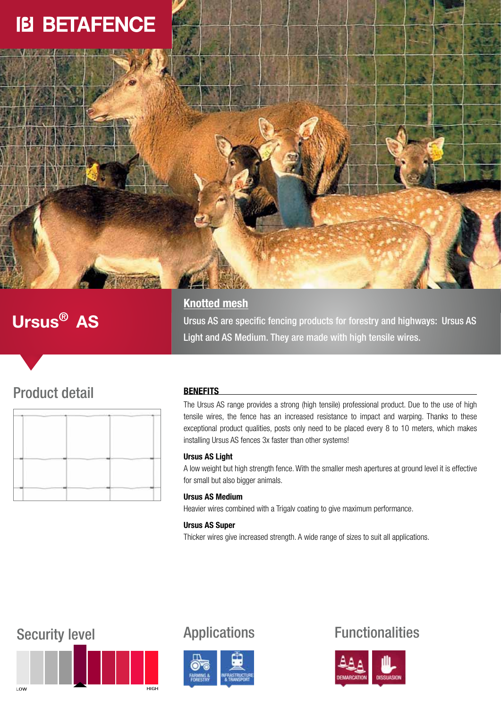

# Ursus® AS

## **Knotted mesh**

Ursus AS are specific fencing products for forestry and highways: Ursus AS Light and AS Medium. They are made with high tensile wires.

# Product detail

|  | <b>Service</b> | <b>CONTRACTOR</b> |
|--|----------------|-------------------|
|  |                |                   |
|  |                |                   |

### **BENEFITS**

The Ursus AS range provides a strong (high tensile) professional product. Due to the use of high tensile wires, the fence has an increased resistance to impact and warping. Thanks to these exceptional product qualities, posts only need to be placed every 8 to 10 meters, which makes installing Ursus AS fences 3x faster than other systems!

### Ursus AS Light

A low weight but high strength fence. With the smaller mesh apertures at ground level it is effective for small but also bigger animals.

### Ursus AS Medium

Heavier wires combined with a Trigalv coating to give maximum performance.

### Ursus AS Super

Thicker wires give increased strength. A wide range of sizes to suit all applications.





# Security level **Applications** Functionalities